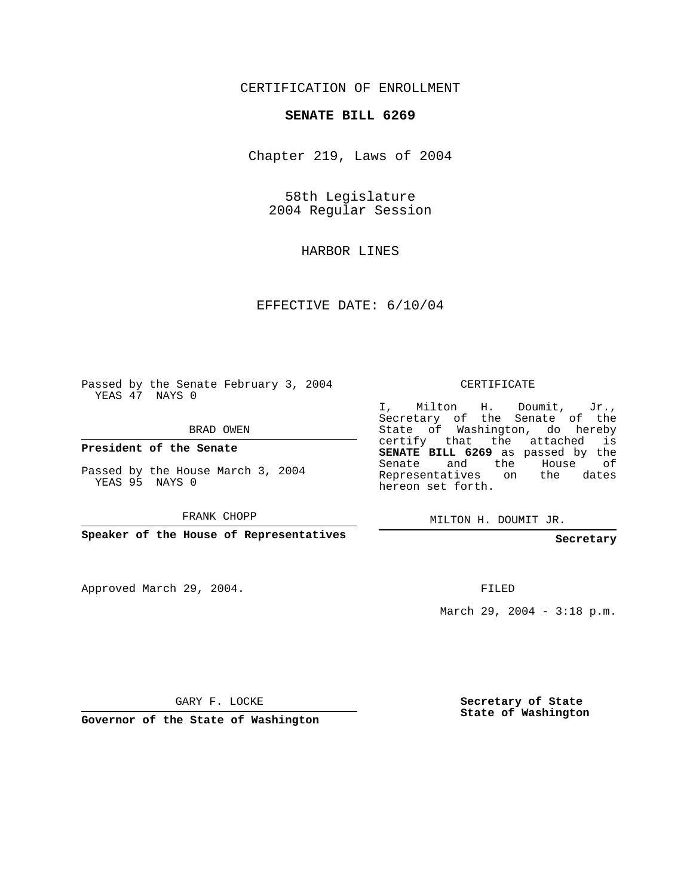## CERTIFICATION OF ENROLLMENT

## **SENATE BILL 6269**

Chapter 219, Laws of 2004

58th Legislature 2004 Regular Session

HARBOR LINES

EFFECTIVE DATE: 6/10/04

Passed by the Senate February 3, 2004 YEAS 47 NAYS 0

BRAD OWEN

**President of the Senate**

Passed by the House March 3, 2004 YEAS 95 NAYS 0

FRANK CHOPP

**Speaker of the House of Representatives**

Approved March 29, 2004.

CERTIFICATE

I, Milton H. Doumit, Jr., Secretary of the Senate of the State of Washington, do hereby certify that the attached is **SENATE BILL 6269** as passed by the Senate and the House of Representatives on the dates hereon set forth.

MILTON H. DOUMIT JR.

**Secretary**

FILED

March 29, 2004 - 3:18 p.m.

GARY F. LOCKE

**Governor of the State of Washington**

**Secretary of State State of Washington**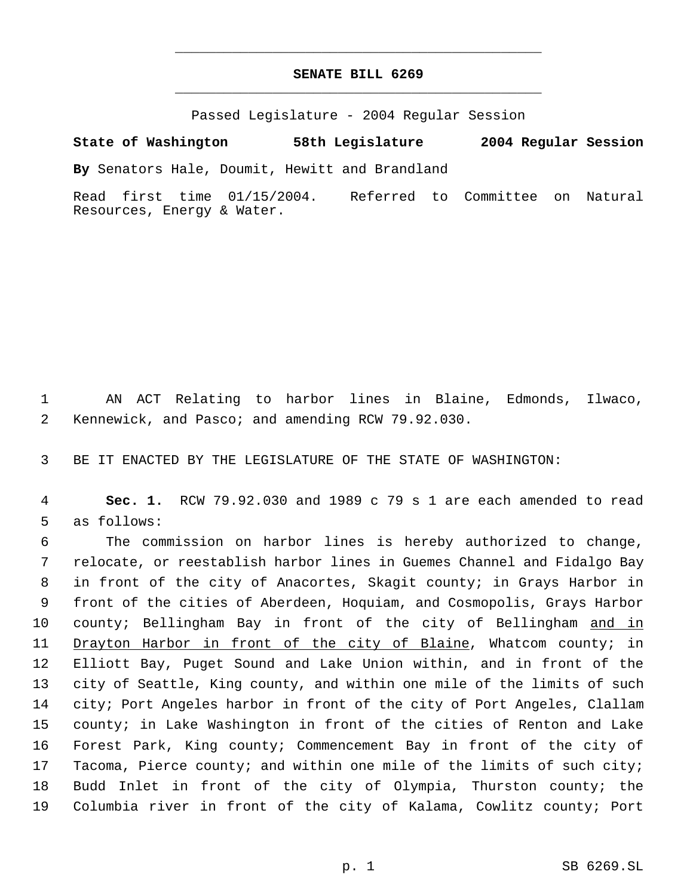## **SENATE BILL 6269** \_\_\_\_\_\_\_\_\_\_\_\_\_\_\_\_\_\_\_\_\_\_\_\_\_\_\_\_\_\_\_\_\_\_\_\_\_\_\_\_\_\_\_\_\_

\_\_\_\_\_\_\_\_\_\_\_\_\_\_\_\_\_\_\_\_\_\_\_\_\_\_\_\_\_\_\_\_\_\_\_\_\_\_\_\_\_\_\_\_\_

Passed Legislature - 2004 Regular Session

## **State of Washington 58th Legislature 2004 Regular Session**

**By** Senators Hale, Doumit, Hewitt and Brandland

Read first time 01/15/2004. Referred to Committee on Natural Resources, Energy & Water.

 AN ACT Relating to harbor lines in Blaine, Edmonds, Ilwaco, Kennewick, and Pasco; and amending RCW 79.92.030.

BE IT ENACTED BY THE LEGISLATURE OF THE STATE OF WASHINGTON:

 **Sec. 1.** RCW 79.92.030 and 1989 c 79 s 1 are each amended to read as follows:

 The commission on harbor lines is hereby authorized to change, relocate, or reestablish harbor lines in Guemes Channel and Fidalgo Bay in front of the city of Anacortes, Skagit county; in Grays Harbor in front of the cities of Aberdeen, Hoquiam, and Cosmopolis, Grays Harbor 10 county; Bellingham Bay in front of the city of Bellingham and in Drayton Harbor in front of the city of Blaine, Whatcom county; in Elliott Bay, Puget Sound and Lake Union within, and in front of the city of Seattle, King county, and within one mile of the limits of such city; Port Angeles harbor in front of the city of Port Angeles, Clallam county; in Lake Washington in front of the cities of Renton and Lake Forest Park, King county; Commencement Bay in front of the city of 17 Tacoma, Pierce county; and within one mile of the limits of such city; Budd Inlet in front of the city of Olympia, Thurston county; the Columbia river in front of the city of Kalama, Cowlitz county; Port